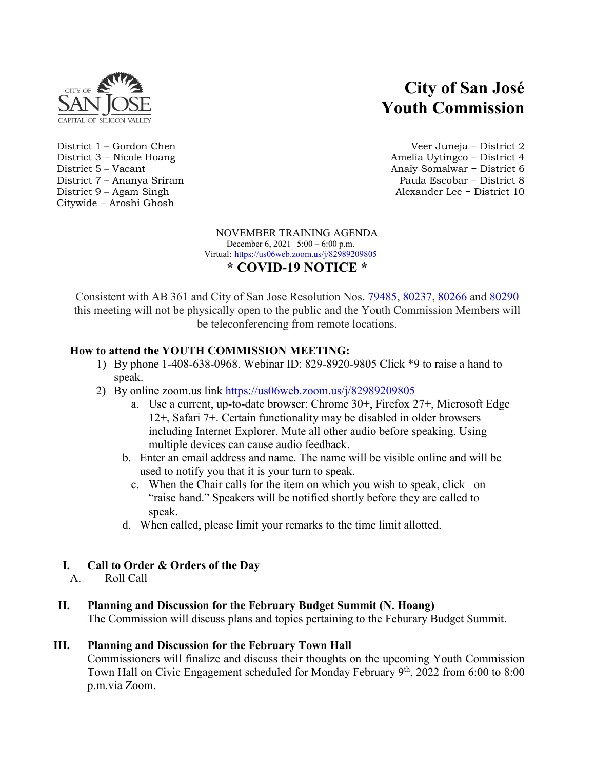

District 9 – Agam Singh Citywide − Aroshi Ghosh

# **City of San José Youth Commission**

District 1 – Gordon Chen Veer Juneja − District 2 District 3 − Nicole Hoang Amelia Uytingco − District 4 District 5 – Vacant Anaiy Somalwar − District 6 District 7 – Ananya Sriram Paula Escobar − District 8

#### NOVEMBER TRAINING AGENDA December 6, 2021 | 5:00 – 6:00 p.m. Virtual: https://us06web.zoom.us/j/82989209805

### **\* COVID-19 NOTICE \***

Consistent with AB 361 and City of San Jose Resolution Nos. [79485,](https://records.sanjoseca.gov/Resolutions/RES79485.pdf) [80237,](https://records.sanjoseca.gov/Resolutions/RES80237.pdf) [80266](https://records.sanjoseca.gov/Resolutions/RES80266.pdf) and [80290](https://records.sanjoseca.gov/Resolutions/RES80290.pdf) this meeting will not be physically open to the public and the Youth Commission Members will be teleconferencing from remote locations.

### **How to attend the YOUTH COMMISSION MEETING:**

- 1) By phone 1-408-638-0968. Webinar ID: 829-8920-9805 Click \*9 to raise a hand to speak.
- 2) By online zoom.us link<https://us06web.zoom.us/j/82989209805>
	- a. Use a current, up-to-date browser: Chrome 30+, Firefox 27+, Microsoft Edge 12+, Safari 7+. Certain functionality may be disabled in older browsers including Internet Explorer. Mute all other audio before speaking. Using multiple devices can cause audio feedback.
	- b. Enter an email address and name. The name will be visible online and will be used to notify you that it is your turn to speak.
		- c. When the Chair calls for the item on which you wish to speak, click on "raise hand." Speakers will be notified shortly before they are called to speak.
	- d. When called, please limit your remarks to the time limit allotted.

### **I. Call to Order & Orders of the Day**

A. Roll Call

## **II. Planning and Discussion for the February Budget Summit (N. Hoang)**

The Commission will discuss plans and topics pertaining to the Feburary Budget Summit.

### **III. Planning and Discussion for the February Town Hall**

Commissioners will finalize and discuss their thoughts on the upcoming Youth Commission Town Hall on Civic Engagement scheduled for Monday February  $9<sup>th</sup>$ , 2022 from 6:00 to 8:00 p.m.via Zoom.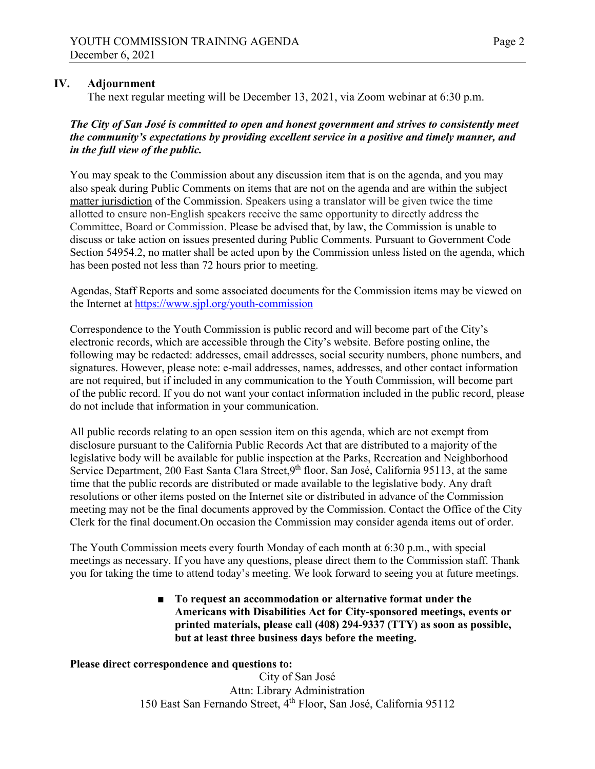### **IV. Adjournment**

The next regular meeting will be December 13, 2021, via Zoom webinar at 6:30 p.m.

### *The City of San José is committed to open and honest government and strives to consistently meet the community's expectations by providing excellent service in a positive and timely manner, and in the full view of the public.*

You may speak to the Commission about any discussion item that is on the agenda, and you may also speak during Public Comments on items that are not on the agenda and are within the subject matter jurisdiction of the Commission. Speakers using a translator will be given twice the time allotted to ensure non-English speakers receive the same opportunity to directly address the Committee, Board or Commission. Please be advised that, by law, the Commission is unable to discuss or take action on issues presented during Public Comments. Pursuant to Government Code Section 54954.2, no matter shall be acted upon by the Commission unless listed on the agenda, which has been posted not less than 72 hours prior to meeting.

Agendas, Staff Reports and some associated documents for the Commission items may be viewed on the Internet at<https://www.sjpl.org/youth-commission>

Correspondence to the Youth Commission is public record and will become part of the City's electronic records, which are accessible through the City's website. Before posting online, the following may be redacted: addresses, email addresses, social security numbers, phone numbers, and signatures. However, please note: e-mail addresses, names, addresses, and other contact information are not required, but if included in any communication to the Youth Commission, will become part of the public record. If you do not want your contact information included in the public record, please do not include that information in your communication.

All public records relating to an open session item on this agenda, which are not exempt from disclosure pursuant to the California Public Records Act that are distributed to a majority of the legislative body will be available for public inspection at the Parks, Recreation and Neighborhood Service Department, 200 East Santa Clara Street, 9<sup>th</sup> floor, San José, California 95113, at the same time that the public records are distributed or made available to the legislative body. Any draft resolutions or other items posted on the Internet site or distributed in advance of the Commission meeting may not be the final documents approved by the Commission. Contact the Office of the City Clerk for the final document.On occasion the Commission may consider agenda items out of order.

The Youth Commission meets every fourth Monday of each month at 6:30 p.m., with special meetings as necessary. If you have any questions, please direct them to the Commission staff. Thank you for taking the time to attend today's meeting. We look forward to seeing you at future meetings.

> ■ **To request an accommodation or alternative format under the Americans with Disabilities Act for City-sponsored meetings, events or printed materials, please call (408) 294-9337 (TTY) as soon as possible, but at least three business days before the meeting.**

### **Please direct correspondence and questions to:**

City of San José Attn: Library Administration 150 East San Fernando Street, 4th Floor, San José, California 95112